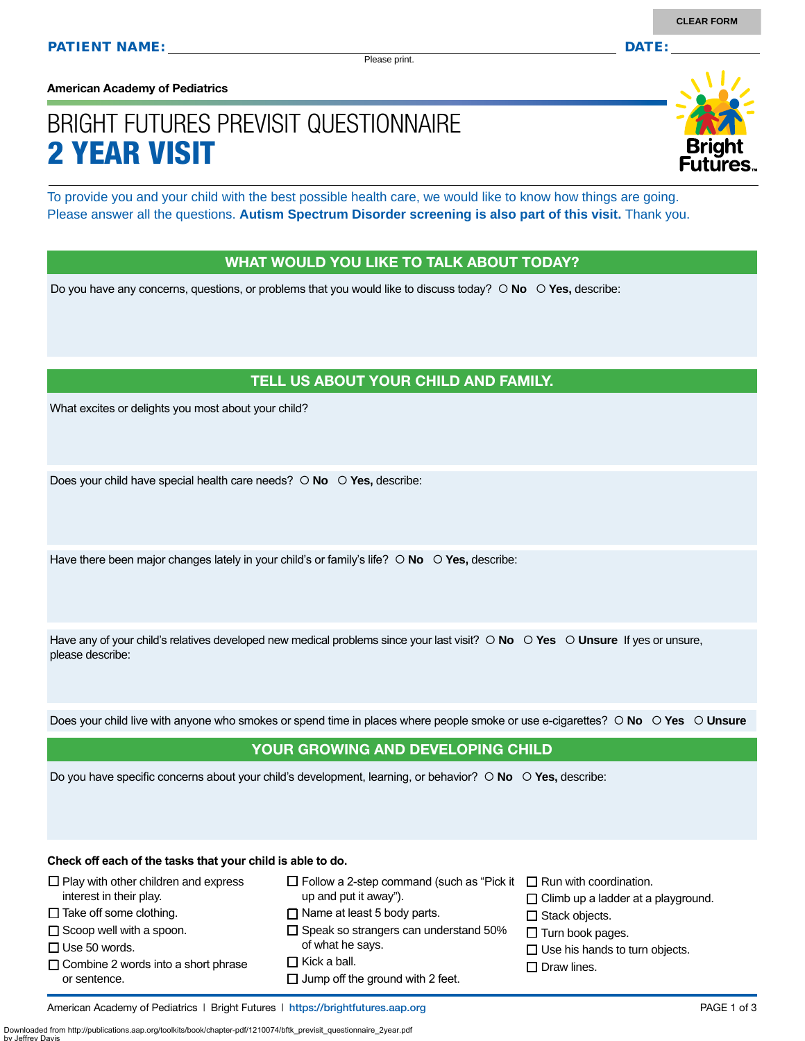Please print.

**American Academy of Pediatrics**

# BRIGHT FUTURES PREVISIT QUESTIONNAIRE 2 YEAR VISIT

To provide you and your child with the best possible health care, we would like to know how things are going. Please answer all the questions. **Autism Spectrum Disorder screening is also part of this visit.** Thank you.

#### WHAT WOULD YOU LIKE TO TALK ABOUT TODAY?

Do you have any concerns, questions, or problems that you would like to discuss today?  $\circ$  **No**  $\circ$  **Yes**, describe:

#### TELL US ABOUT YOUR CHILD AND FAMILY.

What excites or delights you most about your child?

Does your child have special health care needs?  **No Yes,** describe:

Have there been major changes lately in your child's or family's life?  $\circ$  No  $\circ$  Yes, describe:

Have any of your child's relatives developed new medical problems since your last visit?  $\circ$  No  $\circ$  Yes  $\circ$  Unsure If yes or unsure, please describe:

Does your child live with anyone who smokes or spend time in places where people smoke or use e-cigarettes?  **No Yes Unsure**

#### YOUR GROWING AND DEVELOPING CHILD

Do you have specific concerns about your child's development, learning, or behavior?  **No Yes,** describe:

**Check off each of the tasks that your child is able to do.**

| $\Box$ Play with other children and express<br>interest in their play.                                                | $\Box$ Follow a 2-step command (such as "Pick it $\Box$ Run with coordination.<br>up and put it away").                            | $\Box$ Climb up a ladder at a playground.                                              |
|-----------------------------------------------------------------------------------------------------------------------|------------------------------------------------------------------------------------------------------------------------------------|----------------------------------------------------------------------------------------|
| $\Box$ Take off some clothing.                                                                                        | $\Box$ Name at least 5 body parts.                                                                                                 | $\Box$ Stack objects.                                                                  |
| $\Box$ Scoop well with a spoon.<br>$\Box$ Use 50 words.<br>$\Box$ Combine 2 words into a short phrase<br>or sentence. | $\Box$ Speak so strangers can understand 50%<br>of what he says.<br>$\Box$ Kick a ball.<br>$\Box$ Jump off the ground with 2 feet. | $\Box$ Turn book pages.<br>$\Box$ Use his hands to turn objects.<br>$\Box$ Draw lines. |

Downloaded from http://publications.aap.org/toolkits/book/chapter-pdf/1210074/bftk\_previsit\_questionnaire\_2year.pdf

by Jeffrey Davis

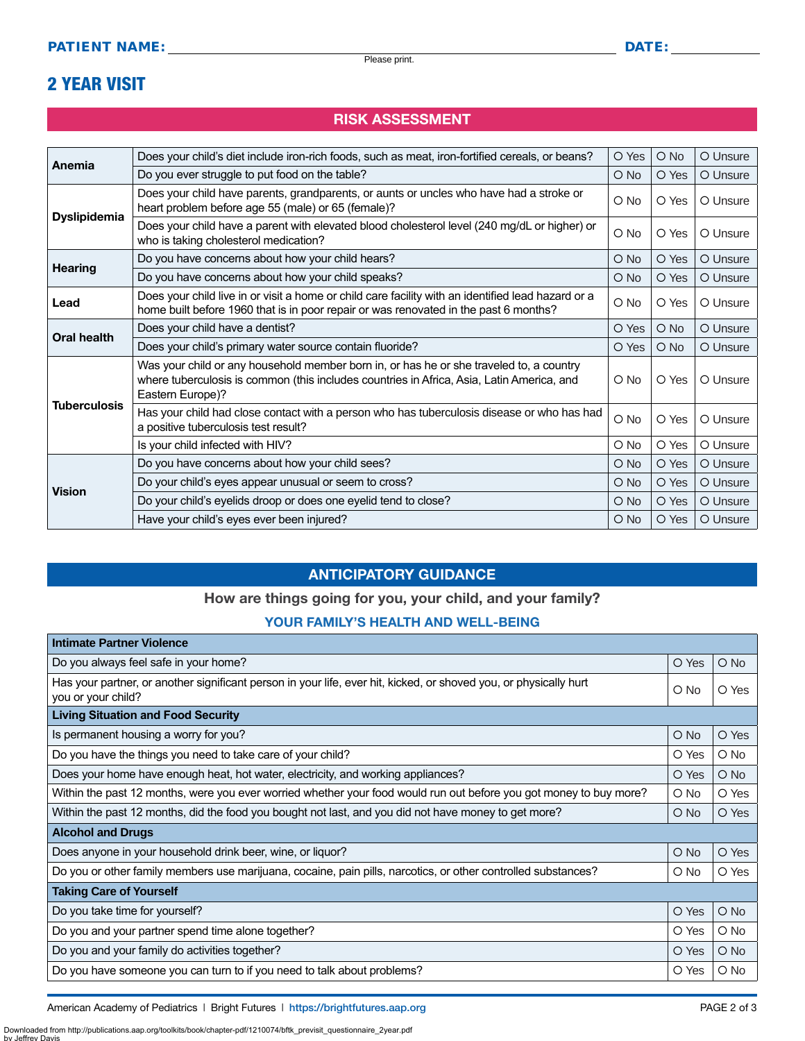## 2 YEAR VISIT

#### RISK ASSESSMENT

|                                    | Does your child's diet include iron-rich foods, such as meat, iron-fortified cereals, or beans?                                                                                                          | O Yes         | $O$ No | O Unsure |
|------------------------------------|----------------------------------------------------------------------------------------------------------------------------------------------------------------------------------------------------------|---------------|--------|----------|
| Anemia                             | Do you ever struggle to put food on the table?                                                                                                                                                           | $O$ No        | O Yes  | O Unsure |
| <b>Dyslipidemia</b>                | Does your child have parents, grandparents, or aunts or uncles who have had a stroke or<br>heart problem before age 55 (male) or 65 (female)?                                                            | $\bigcirc$ No | O Yes  | O Unsure |
|                                    | Does your child have a parent with elevated blood cholesterol level (240 mg/dL or higher) or<br>who is taking cholesterol medication?                                                                    | $\bigcirc$ No | O Yes  | O Unsure |
|                                    | Do you have concerns about how your child hears?                                                                                                                                                         | $O$ No        | O Yes  | O Unsure |
| <b>Hearing</b>                     | Do you have concerns about how your child speaks?                                                                                                                                                        | $\bigcirc$ No | O Yes  | O Unsure |
| Lead                               | Does your child live in or visit a home or child care facility with an identified lead hazard or a<br>home built before 1960 that is in poor repair or was renovated in the past 6 months?               | O No          | O Yes  | O Unsure |
|                                    | Does your child have a dentist?                                                                                                                                                                          | O Yes         | $O$ No | O Unsure |
| Oral health<br><b>Tuberculosis</b> | Does your child's primary water source contain fluoride?                                                                                                                                                 | O Yes         | $O$ No | O Unsure |
|                                    | Was your child or any household member born in, or has he or she traveled to, a country<br>where tuberculosis is common (this includes countries in Africa, Asia, Latin America, and<br>Eastern Europe)? | O No          | O Yes  | O Unsure |
|                                    | Has your child had close contact with a person who has tuberculosis disease or who has had<br>a positive tuberculosis test result?                                                                       | O No          | O Yes  | O Unsure |
|                                    | Is your child infected with HIV?                                                                                                                                                                         | O No          | O Yes  | O Unsure |
| <b>Vision</b>                      | Do you have concerns about how your child sees?                                                                                                                                                          | $\bigcirc$ No | O Yes  | O Unsure |
|                                    | Do your child's eyes appear unusual or seem to cross?                                                                                                                                                    | $O$ No        | O Yes  | O Unsure |
|                                    | Do your child's eyelids droop or does one eyelid tend to close?                                                                                                                                          | $\bigcirc$ No | O Yes  | O Unsure |
|                                    | Have your child's eyes ever been injured?                                                                                                                                                                | $O$ No        | O Yes  | O Unsure |

#### ANTICIPATORY GUIDANCE

#### How are things going for you, your child, and your family?

#### YOUR FAMILY'S HEALTH AND WELL-BEING

| <b>Intimate Partner Violence</b>                                                                                                        |               |               |
|-----------------------------------------------------------------------------------------------------------------------------------------|---------------|---------------|
| Do you always feel safe in your home?                                                                                                   | O Yes         | $\bigcirc$ No |
| Has your partner, or another significant person in your life, ever hit, kicked, or shoved you, or physically hurt<br>you or your child? | $\circ$ No    | O Yes         |
| <b>Living Situation and Food Security</b>                                                                                               |               |               |
| Is permanent housing a worry for you?                                                                                                   | $\bigcirc$ No | O Yes         |
| Do you have the things you need to take care of your child?                                                                             | O Yes         | O No          |
| Does your home have enough heat, hot water, electricity, and working appliances?                                                        | O Yes         | $\bigcirc$ No |
| Within the past 12 months, were you ever worried whether your food would run out before you got money to buy more?                      | O No          | O Yes         |
| Within the past 12 months, did the food you bought not last, and you did not have money to get more?                                    | $\circ$ No    | O Yes         |
| <b>Alcohol and Drugs</b>                                                                                                                |               |               |
| Does anyone in your household drink beer, wine, or liquor?                                                                              | $\bigcirc$ No | O Yes         |
| Do you or other family members use marijuana, cocaine, pain pills, narcotics, or other controlled substances?                           | $\circ$ No    | O Yes         |
| <b>Taking Care of Yourself</b>                                                                                                          |               |               |
| Do you take time for yourself?                                                                                                          | O Yes         | $\bigcirc$ No |
| Do you and your partner spend time alone together?                                                                                      | O Yes         | O No          |
| Do you and your family do activities together?                                                                                          | O Yes         | $\bigcirc$ No |
| Do you have someone you can turn to if you need to talk about problems?                                                                 | O Yes         | O No          |

American Academy of Pediatrics | Bright Futures | https:/[/brightfutures.aap.org](https://brightfutures.aap.org/Pages/default.aspx) | Namerican Academy of Pediatrics | Bright Futures | https://brightfutures.aap.org